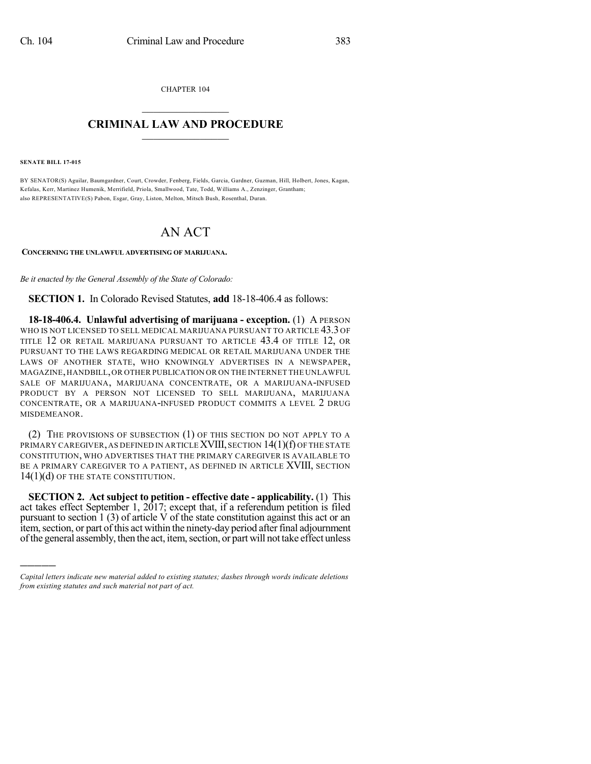CHAPTER 104  $\overline{\phantom{a}}$  . The set of the set of the set of the set of the set of the set of the set of the set of the set of the set of the set of the set of the set of the set of the set of the set of the set of the set of the set o

## **CRIMINAL LAW AND PROCEDURE**  $\frac{1}{2}$  ,  $\frac{1}{2}$  ,  $\frac{1}{2}$  ,  $\frac{1}{2}$  ,  $\frac{1}{2}$  ,  $\frac{1}{2}$  ,  $\frac{1}{2}$

**SENATE BILL 17-015**

)))))

BY SENATOR(S) Aguilar, Baumgardner, Court, Crowder, Fenberg, Fields, Garcia, Gardner, Guzman, Hill, Holbert, Jones, Kagan, Kefalas, Kerr, Martinez Humenik, Merrifield, Priola, Smallwood, Tate, Todd, Williams A., Zenzinger, Grantham; also REPRESENTATIVE(S) Pabon, Esgar, Gray, Liston, Melton, Mitsch Bush, Rosenthal, Duran.

## AN ACT

**CONCERNING THE UNLAWFUL ADVERTISING OF MARIJUANA.**

*Be it enacted by the General Assembly of the State of Colorado:*

**SECTION 1.** In Colorado Revised Statutes, **add** 18-18-406.4 as follows:

**18-18-406.4. Unlawful advertising of marijuana - exception.** (1) A PERSON WHO IS NOT LICENSED TO SELL MEDICAL MARIJUANA PURSUANT TO ARTICLE 43.3 OF TITLE 12 OR RETAIL MARIJUANA PURSUANT TO ARTICLE 43.4 OF TITLE 12, OR PURSUANT TO THE LAWS REGARDING MEDICAL OR RETAIL MARIJUANA UNDER THE LAWS OF ANOTHER STATE, WHO KNOWINGLY ADVERTISES IN A NEWSPAPER, MAGAZINE,HANDBILL,OR OTHER PUBLICATION OR ON THE INTERNET THE UNLAWFUL SALE OF MARIJUANA, MARIJUANA CONCENTRATE, OR A MARIJUANA-INFUSED PRODUCT BY A PERSON NOT LICENSED TO SELL MARIJUANA, MARIJUANA CONCENTRATE, OR A MARIJUANA-INFUSED PRODUCT COMMITS A LEVEL 2 DRUG MISDEMEANOR.

(2) THE PROVISIONS OF SUBSECTION (1) OF THIS SECTION DO NOT APPLY TO A PRIMARY CAREGIVER, AS DEFINED IN ARTICLE XVIII, SECTION 14(1)(f) OF THE STATE CONSTITUTION, WHO ADVERTISES THAT THE PRIMARY CAREGIVER IS AVAILABLE TO BE A PRIMARY CAREGIVER TO A PATIENT, AS DEFINED IN ARTICLE XVIII, SECTION 14(1)(d) OF THE STATE CONSTITUTION.

**SECTION 2. Act subject to petition - effective date - applicability.** (1) This act takes effect September 1, 2017; except that, if a referendum petition is filed pursuant to section  $1(3)$  of article V of the state constitution against this act or an item, section, or part of this act within the ninety-day period after final adjournment of the general assembly, then the act, item, section, or part will not take effect unless

*Capital letters indicate new material added to existing statutes; dashes through words indicate deletions from existing statutes and such material not part of act.*